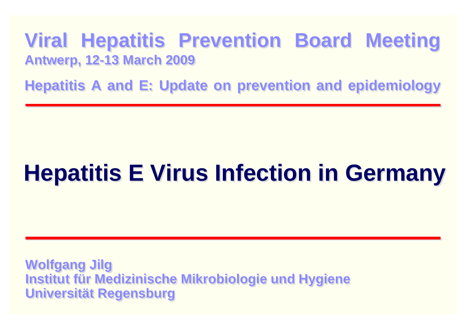### **Viral Hepatitis Prevention Board Meeting Viral Hepatitis Prevention Board Meeting Antwerp, 12-13 March 2009 Antwerp, 12-13 March 2009**

**Hepatitis A and E: Update on prevention and epidemiology Hepatitis A and E: Update on prevention and epidemiology**

# **Hepatitis E Virus Infection in Germany**

**Wolfgang Jilg Wolfgang Jilg Institut für Medizinische Mikrobiologie und Hygiene Institut für Medizinische Mikrobiologie und Hygiene Universität Regensburg Universität Regensburg**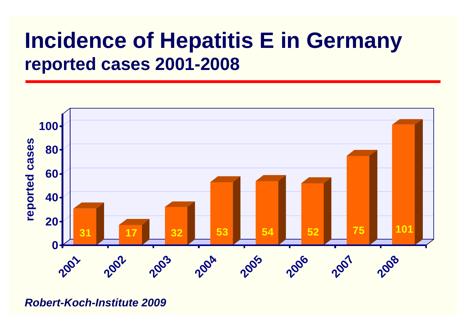## **Incidence of Hepatitis E in Germany reported cases 2001-2008**



*Robert-Koch-Institute 2009*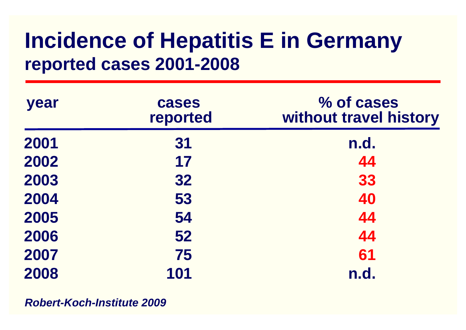## **Incidence of Hepatitis E in Germany reported cases 2001-2008**

| year | cases<br>reported | % of cases<br>without travel history |
|------|-------------------|--------------------------------------|
| 2001 | 31                | n.d.                                 |
| 2002 | 17                | 44                                   |
| 2003 | 32                | 33                                   |
| 2004 | 53                | 40                                   |
| 2005 | 54                | 44                                   |
| 2006 | 52                | 44                                   |
| 2007 | 75                | 61                                   |
| 2008 | 101               | n.d.                                 |

*Robert-Koch-Institute 2009*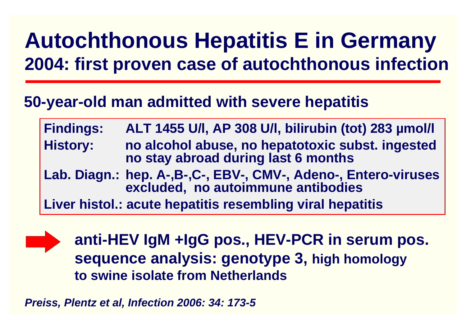# **Autochthonous Hepatitis E in Germany 2004: first proven case of autochthonous infection**

### **50-year-old man admitted with severe hepatitis**

**Findings: ALT 1455 U/l, AP 308 U/l, bilirubin (tot) 283 µmol/l History: no alcohol abuse, no hepatotoxic subst. ingested no stay abroad during last 6 months Lab. Diagn.: hep. A-,B-,C-, EBV-, CMV-, Adeno-, Entero-viruses excluded, no autoimmune antibodies Liver histol.: acute hepatitis resembling viral hepatitis**



**anti-HEV IgM +IgG pos., HEV-PCR in serum pos. sequence analysis: genotype 3, high homology to swine isolate from Netherlands**

*Preiss, Plentz et al, Infection 2006: 34: 173-5*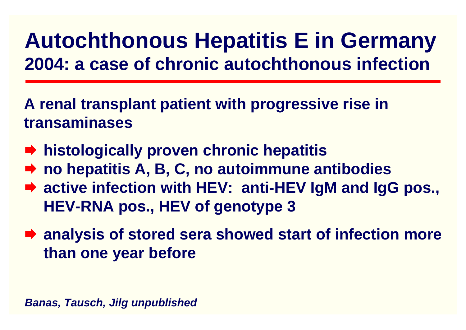# **Autochthonous Hepatitis E in Germany 2004: a case of chronic autochthonous infection**

**A renal transplant patient with progressive rise in transaminases**

- **histologically proven chronic hepatitis**
- **no hepatitis A, B, C, no autoimmune antibodies**
- **→ active infection with HEV: anti-HEV IgM and IgG pos., HEV-RNA pos., HEV of genotype 3**

**■ analysis of stored sera showed start of infection more than one year before**

*Banas, Tausch, Jilg unpublished*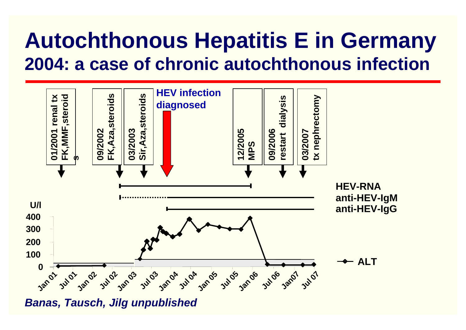## **Autochthonous Hepatitis E in Germany 2004: a case of chronic autochthonous infection**



*Banas, Tausch, Jilg unpublished*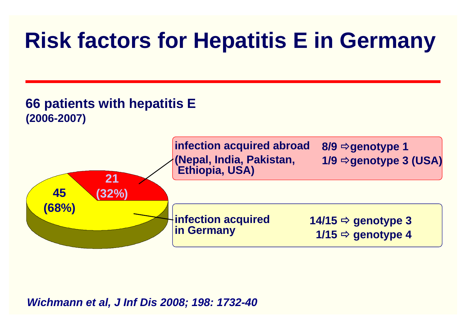# **Risk factors for Hepatitis E in Germany**

#### **66 patients with hepatitis E (2006-2007)**



*Wichmann et al, J Inf Dis 2008; 198: 1732-40*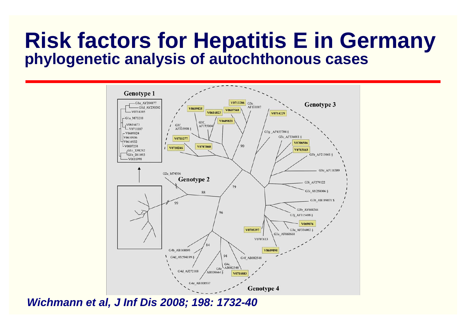### **Risk factors for Hepatitis E in Germany phylogenetic analysis of autochthonous cases**



*Wichmann et al, J Inf Dis 2008; 198: 1732-40*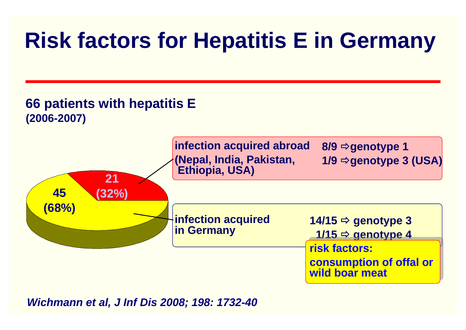# **Risk factors for Hepatitis E in Germany**

#### **66 patients with hepatitis E (2006-2007)**



#### *Wichmann et al, J Inf Dis 2008; 198: 1732-40*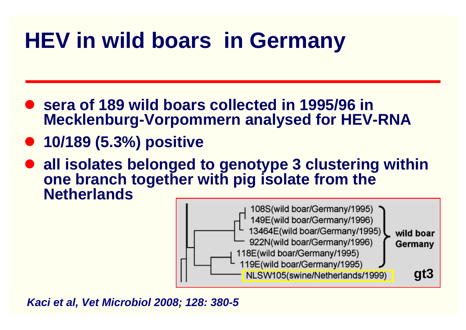# **HEV in wild boars in Germany**

- sera of 189 wild boars collected in 1995/96 in **Mecklenburg-Vorpommern analysed for HEV-RNA**
- z **10/189 (5.3%) positive**
- **all isolates belonged to genotype 3 clustering within one branch together with pig isolate from the Netherlands**



*Kaci et al, Vet Microbiol 2008; 128: 380-5*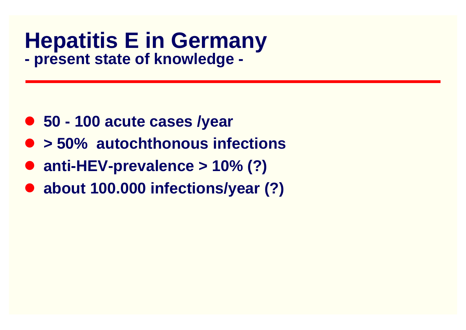### **Hepatitis E in Germany - present state of knowledge -**

- z **50 - 100 acute cases /year**
- z **> 50% autochthonous infections**
- $\bullet$ **anti-HEV-prevalence > 10% (?)**
- $\bullet$ **about 100.000 infections/year (?)**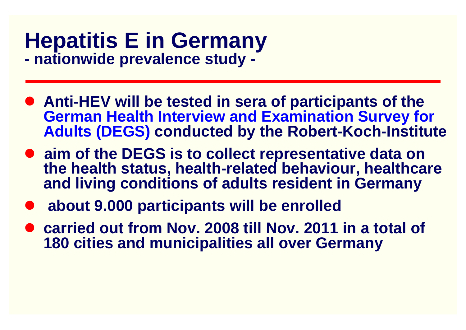### **Hepatitis E in Germany - nationwide prevalence study -**

- **Anti-HEV will be tested in sera of participants of the German Health Interview and Examination Survey for Adults (DEGS) conducted by the Robert-Koch-Institute**
- **aim of the DEGS is to collect representative data on the health status, health-related behaviour, healthcare and living conditions of adults resident in Germany**
- **about 9.000 participants will be enrolled**
- **carried out from Nov. 2008 till Nov. 2011 in a total of 180 cities and municipalities all over Germany**